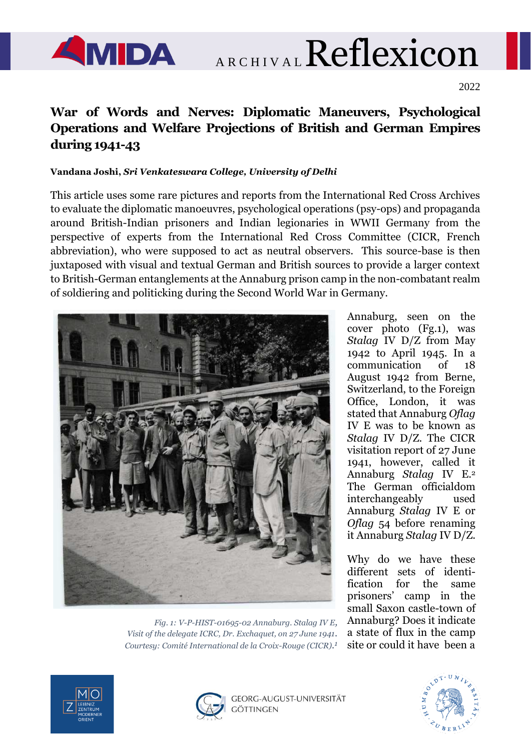

AMIDA ARCHIVAL Reflexicon

2022

# **War of Words and Nerves: Diplomatic Maneuvers, Psychological Operations and Welfare Projections of British and German Empires during 1941-43**

### **Vandana Joshi,** *Sri Venkateswara College, University of Delhi*

This article uses some rare pictures and reports from the International Red Cross Archives to evaluate the diplomatic manoeuvres, psychological operations (psy-ops) and propaganda around British-Indian prisoners and Indian legionaries in WWII Germany from the perspective of experts from the International Red Cross Committee (CICR, French abbreviation), who were supposed to act as neutral observers. This source-base is then juxtaposed with visual and textual German and British sources to provide a larger context to British-German entanglements at the Annaburg prison camp in the non-combatant realm of soldiering and politicking during the Second World War in Germany.



*Fig. 1: V-P-HIST-01695-02 Annaburg. Stalag IV E, Visit of the delegate ICRC, Dr. Exchaquet, on 27 June 1941. Courtesy: Comité International de la Croix-Rouge (CICR). 1*

Annaburg, seen on the cover photo (Fg.1), was *Stalag* IV D/Z from May 1942 to April 1945. In a communication of 18 August 1942 from Berne, Switzerland, to the Foreign Office, London, it was stated that Annaburg *Oflag* IV E was to be known as *Stalag* IV D/Z. The CICR visitation report of 27 June 1941, however, called it Annaburg *Stalag* IV E.<sup>2</sup> The German officialdom interchangeably used Annaburg *Stalag* IV E or *Oflag* 54 before renaming it Annaburg *Stalag* IV D/Z.

Why do we have these different sets of identification for the same prisoners' camp in the small Saxon castle-town of Annaburg? Does it indicate a state of flux in the camp site or could it have been a





GEORG-AUGUST-UNIVERSITÄT GÖTTINGEN

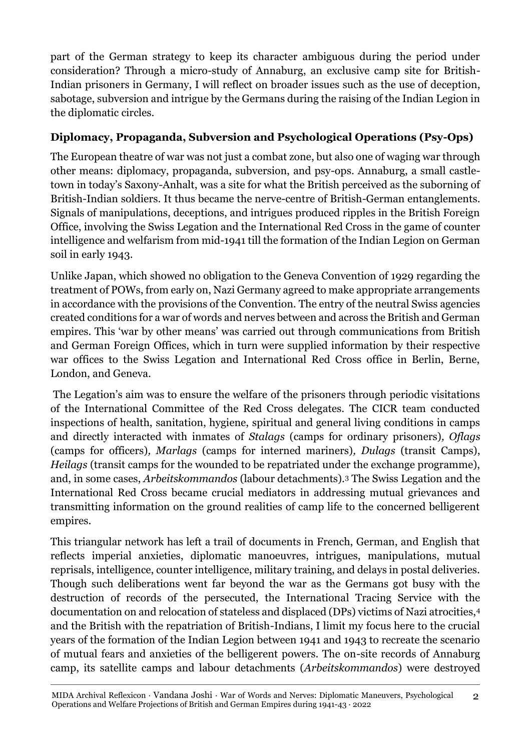part of the German strategy to keep its character ambiguous during the period under consideration? Through a micro-study of Annaburg, an exclusive camp site for British-Indian prisoners in Germany, I will reflect on broader issues such as the use of deception, sabotage, subversion and intrigue by the Germans during the raising of the Indian Legion in the diplomatic circles.

# **Diplomacy, Propaganda, Subversion and Psychological Operations (Psy-Ops)**

The European theatre of war was not just a combat zone, but also one of waging war through other means: diplomacy, propaganda, subversion, and psy-ops. Annaburg, a small castletown in today's Saxony-Anhalt, was a site for what the British perceived as the suborning of British-Indian soldiers. It thus became the nerve-centre of British-German entanglements. Signals of manipulations, deceptions, and intrigues produced ripples in the British Foreign Office, involving the Swiss Legation and the International Red Cross in the game of counter intelligence and welfarism from mid-1941 till the formation of the Indian Legion on German soil in early 1943.

Unlike Japan, which showed no obligation to the Geneva Convention of 1929 regarding the treatment of POWs, from early on, Nazi Germany agreed to make appropriate arrangements in accordance with the provisions of the Convention. The entry of the neutral Swiss agencies created conditions for a war of words and nerves between and across the British and German empires. This 'war by other means' was carried out through communications from British and German Foreign Offices, which in turn were supplied information by their respective war offices to the Swiss Legation and International Red Cross office in Berlin, Berne, London, and Geneva.

The Legation's aim was to ensure the welfare of the prisoners through periodic visitations of the International Committee of the Red Cross delegates. The CICR team conducted inspections of health, sanitation, hygiene, spiritual and general living conditions in camps and directly interacted with inmates of *Stalags* (camps for ordinary prisoners)*, Oflags* (camps for officers)*, Marlags* (camps for interned mariners)*, Dulags* (transit Camps), *Heilags* (transit camps for the wounded to be repatriated under the exchange programme), and, in some cases, *Arbeitskommandos* (labour detachments).<sup>3</sup> The Swiss Legation and the International Red Cross became crucial mediators in addressing mutual grievances and transmitting information on the ground realities of camp life to the concerned belligerent empires.

This triangular network has left a trail of documents in French, German, and English that reflects imperial anxieties, diplomatic manoeuvres, intrigues, manipulations, mutual reprisals, intelligence, counter intelligence, military training, and delays in postal deliveries. Though such deliberations went far beyond the war as the Germans got busy with the destruction of records of the persecuted, the International Tracing Service with the documentation on and relocation of stateless and displaced (DPs) victims of Nazi atrocities,<sup>4</sup> and the British with the repatriation of British-Indians, I limit my focus here to the crucial years of the formation of the Indian Legion between 1941 and 1943 to recreate the scenario of mutual fears and anxieties of the belligerent powers. The on-site records of Annaburg camp, its satellite camps and labour detachments (*Arbeitskommandos*) were destroyed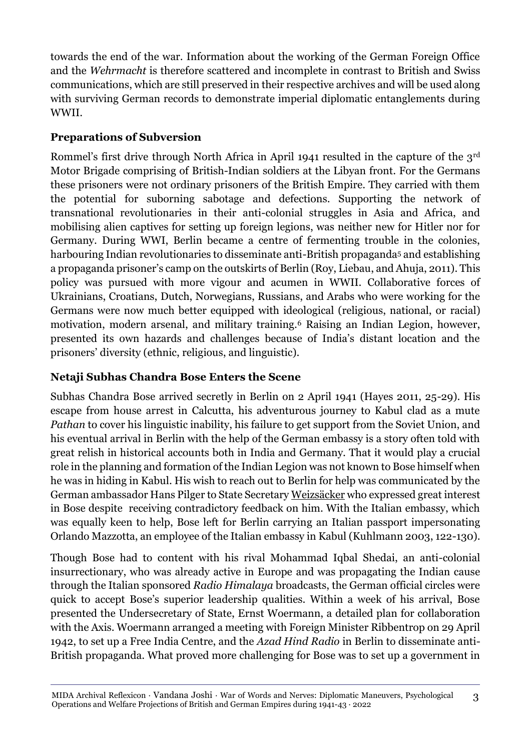towards the end of the war. Information about the working of the German Foreign Office and the *Wehrmacht* is therefore scattered and incomplete in contrast to British and Swiss communications, which are still preserved in their respective archives and will be used along with surviving German records to demonstrate imperial diplomatic entanglements during WWII.

# **Preparations of Subversion**

Rommel's first drive through North Africa in April 1941 resulted in the capture of the 3<sup>rd</sup> Motor Brigade comprising of British-Indian soldiers at the Libyan front. For the Germans these prisoners were not ordinary prisoners of the British Empire. They carried with them the potential for suborning sabotage and defections. Supporting the network of transnational revolutionaries in their anti-colonial struggles in Asia and Africa, and mobilising alien captives for setting up foreign legions, was neither new for Hitler nor for Germany. During WWI, Berlin became a centre of fermenting trouble in the colonies, harbouring Indian revolutionaries to disseminate anti-British propaganda<sup>5</sup> and establishing a propaganda prisoner's camp on the outskirts of Berlin (Roy, Liebau, and Ahuja, 2011). This policy was pursued with more vigour and acumen in WWII. Collaborative forces of Ukrainians, Croatians, Dutch, Norwegians, Russians, and Arabs who were working for the Germans were now much better equipped with ideological (religious, national, or racial) motivation, modern arsenal, and military training.<sup>6</sup> Raising an Indian Legion, however, presented its own hazards and challenges because of India's distant location and the prisoners' diversity (ethnic, religious, and linguistic).

# **Netaji Subhas Chandra Bose Enters the Scene**

Subhas Chandra Bose arrived secretly in Berlin on 2 April 1941 (Hayes 2011, 25-29). His escape from house arrest in Calcutta, his adventurous journey to Kabul clad as a mute *Pathan* to cover his linguistic inability, his failure to get support from the Soviet Union, and his eventual arrival in Berlin with the help of the German embassy is a story often told with great relish in historical accounts both in India and Germany. That it would play a crucial role in the planning and formation of the Indian Legion was not known to Bose himself when he was in hiding in Kabul. His wish to reach out to Berlin for help was communicated by the German ambassador Hans Pilger to State Secretar[y Weizsäcker](https://en.wikipedia.org/wiki/Karl_Heinrich_Weizs%C3%A4cker) who expressed great interest in Bose despite receiving contradictory feedback on him. With the Italian embassy, which was equally keen to help, Bose left for Berlin carrying an Italian passport impersonating Orlando Mazzotta, an employee of the Italian embassy in Kabul (Kuhlmann 2003, 122-130).

Though Bose had to content with his rival Mohammad Iqbal Shedai, an anti-colonial insurrectionary, who was already active in Europe and was propagating the Indian cause through the Italian sponsored *Radio Himalaya* broadcasts, the German official circles were quick to accept Bose's superior leadership qualities. Within a week of his arrival, Bose presented the Undersecretary of State, Ernst Woermann, a detailed plan for collaboration with the Axis. Woermann arranged a meeting with Foreign Minister Ribbentrop on 29 April 1942, to set up a Free India Centre, and the *Azad Hind Radio* in Berlin to disseminate anti-British propaganda. What proved more challenging for Bose was to set up a government in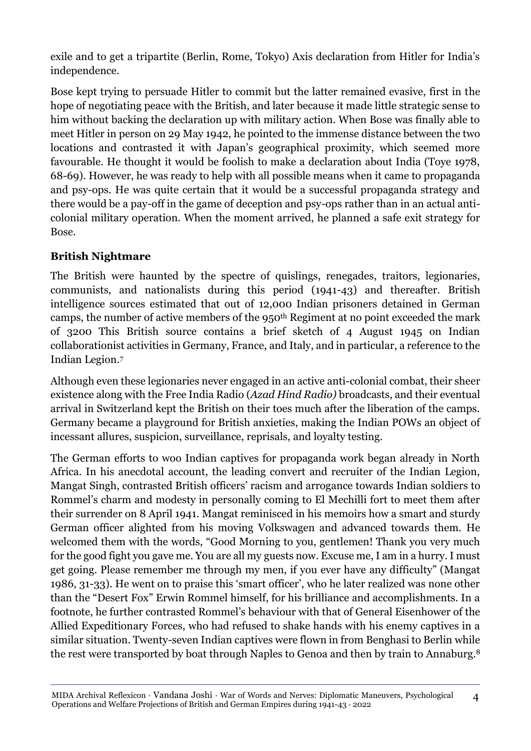exile and to get a tripartite (Berlin, Rome, Tokyo) Axis declaration from Hitler for India's independence.

Bose kept trying to persuade Hitler to commit but the latter remained evasive, first in the hope of negotiating peace with the British, and later because it made little strategic sense to him without backing the declaration up with military action. When Bose was finally able to meet Hitler in person on 29 May 1942, he pointed to the immense distance between the two locations and contrasted it with Japan's geographical proximity, which seemed more favourable. He thought it would be foolish to make a declaration about India (Toye 1978, 68-69). However, he was ready to help with all possible means when it came to propaganda and psy-ops. He was quite certain that it would be a successful propaganda strategy and there would be a pay-off in the game of deception and psy-ops rather than in an actual anticolonial military operation. When the moment arrived, he planned a safe exit strategy for Bose.

### **British Nightmare**

The British were haunted by the spectre of quislings, renegades, traitors, legionaries, communists, and nationalists during this period (1941-43) and thereafter. British intelligence sources estimated that out of 12,000 Indian prisoners detained in German camps, the number of active members of the 950<sup>th</sup> Regiment at no point exceeded the mark of 3200 This British source contains a brief sketch of 4 August 1945 on Indian collaborationist activities in Germany, France, and Italy, and in particular, a reference to the Indian Legion.<sup>7</sup>

Although even these legionaries never engaged in an active anti-colonial combat, their sheer existence along with the Free India Radio (*Azad Hind Radio)* broadcasts, and their eventual arrival in Switzerland kept the British on their toes much after the liberation of the camps. Germany became a playground for British anxieties, making the Indian POWs an object of incessant allures, suspicion, surveillance, reprisals, and loyalty testing.

The German efforts to woo Indian captives for propaganda work began already in North Africa. In his anecdotal account, the leading convert and recruiter of the Indian Legion, Mangat Singh, contrasted British officers' racism and arrogance towards Indian soldiers to Rommel's charm and modesty in personally coming to El Mechilli fort to meet them after their surrender on 8 April 1941. Mangat reminisced in his memoirs how a smart and sturdy German officer alighted from his moving Volkswagen and advanced towards them. He welcomed them with the words, "Good Morning to you, gentlemen! Thank you very much for the good fight you gave me. You are all my guests now. Excuse me, I am in a hurry. I must get going. Please remember me through my men, if you ever have any difficulty" (Mangat 1986, 31-33). He went on to praise this 'smart officer', who he later realized was none other than the "Desert Fox" Erwin Rommel himself, for his brilliance and accomplishments. In a footnote, he further contrasted Rommel's behaviour with that of General Eisenhower of the Allied Expeditionary Forces, who had refused to shake hands with his enemy captives in a similar situation. Twenty-seven Indian captives were flown in from Benghasi to Berlin while the rest were transported by boat through Naples to Genoa and then by train to Annaburg.<sup>8</sup>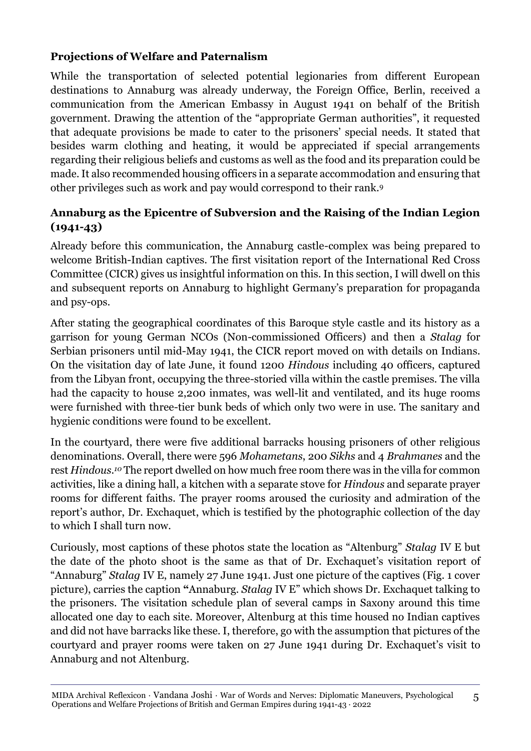# **Projections of Welfare and Paternalism**

While the transportation of selected potential legionaries from different European destinations to Annaburg was already underway, the Foreign Office, Berlin, received a communication from the American Embassy in August 1941 on behalf of the British government. Drawing the attention of the "appropriate German authorities", it requested that adequate provisions be made to cater to the prisoners' special needs. It stated that besides warm clothing and heating, it would be appreciated if special arrangements regarding their religious beliefs and customs as well as the food and its preparation could be made. It also recommended housing officers in a separate accommodation and ensuring that other privileges such as work and pay would correspond to their rank.<sup>9</sup>

### **Annaburg as the Epicentre of Subversion and the Raising of the Indian Legion (1941-43)**

Already before this communication, the Annaburg castle-complex was being prepared to welcome British-Indian captives. The first visitation report of the International Red Cross Committee (CICR) gives us insightful information on this. In this section, I will dwell on this and subsequent reports on Annaburg to highlight Germany's preparation for propaganda and psy-ops.

After stating the geographical coordinates of this Baroque style castle and its history as a garrison for young German NCOs (Non-commissioned Officers) and then a *Stalag* for Serbian prisoners until mid-May 1941, the CICR report moved on with details on Indians. On the visitation day of late June, it found 1200 *Hindous* including 40 officers, captured from the Libyan front, occupying the three-storied villa within the castle premises. The villa had the capacity to house 2,200 inmates, was well-lit and ventilated, and its huge rooms were furnished with three-tier bunk beds of which only two were in use. The sanitary and hygienic conditions were found to be excellent.

In the courtyard, there were five additional barracks housing prisoners of other religious denominations. Overall, there were 596 *Mohametans*, 200 *Sikhs* and 4 *Brahmanes* and the rest *Hindous.<sup>10</sup>* The report dwelled on how much free room there was in the villa for common activities, like a dining hall, a kitchen with a separate stove for *Hindous* and separate prayer rooms for different faiths. The prayer rooms aroused the curiosity and admiration of the report's author, Dr. Exchaquet, which is testified by the photographic collection of the day to which I shall turn now.

Curiously, most captions of these photos state the location as "Altenburg" *Stalag* IV E but the date of the photo shoot is the same as that of Dr. Exchaquet's visitation report of "Annaburg" *Stalag* IV E, namely 27 June 1941. Just one picture of the captives (Fig. 1 cover picture), carries the caption **"**Annaburg. *Stalag* IV E" which shows Dr. Exchaquet talking to the prisoners. The visitation schedule plan of several camps in Saxony around this time allocated one day to each site. Moreover, Altenburg at this time housed no Indian captives and did not have barracks like these. I, therefore, go with the assumption that pictures of the courtyard and prayer rooms were taken on 27 June 1941 during Dr. Exchaquet's visit to Annaburg and not Altenburg.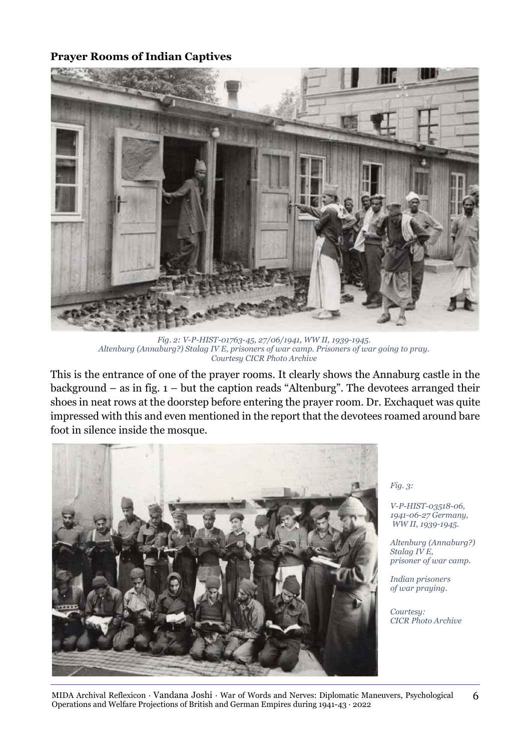### **Prayer Rooms of Indian Captives**



*Fig. 2: V-P-HIST-01763-45, 27/06/1941, WW II, 1939-1945. Altenburg (Annaburg?) Stalag IV E, prisoners of war camp. Prisoners of war going to pray. Courtesy CICR Photo Archive*

This is the entrance of one of the prayer rooms. It clearly shows the Annaburg castle in the background – as in fig.  $1 -$  but the caption reads "Altenburg". The devotees arranged their shoes in neat rows at the doorstep before entering the prayer room. Dr. Exchaquet was quite impressed with this and even mentioned in the report that the devotees roamed around bare foot in silence inside the mosque.



*Fig. 3:*

*V-P-HIST-03518-06, 1941-06-27 Germany, WW II, 1939-1945.*

*Altenburg (Annaburg?) Stalag IV E, prisoner of war camp.* 

*Indian prisoners of war praying.* 

*Courtesy: CICR Photo Archive*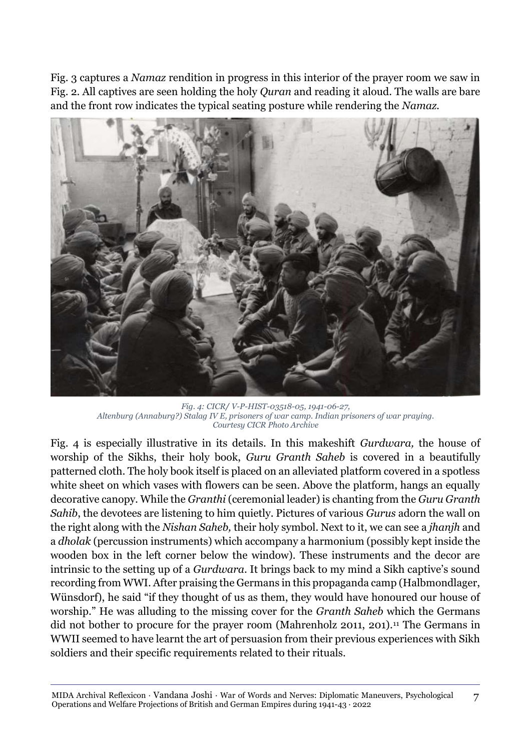Fig. 3 captures a *Namaz* rendition in progress in this interior of the prayer room we saw in Fig. 2. All captives are seen holding the holy *Quran* and reading it aloud. The walls are bare and the front row indicates the typical seating posture while rendering the *Namaz.*



*Fig. 4: CICR/ V-P-HIST-03518-05, 1941-06-27, Altenburg (Annaburg?) Stalag IV E, prisoners of war camp. Indian prisoners of war praying. Courtesy CICR Photo Archive*

Fig. 4 is especially illustrative in its details. In this makeshift *Gurdwara,* the house of worship of the Sikhs, their holy book, *Guru Granth Saheb* is covered in a beautifully patterned cloth. The holy book itself is placed on an alleviated platform covered in a spotless white sheet on which vases with flowers can be seen. Above the platform, hangs an equally decorative canopy. While the *Granthi* (ceremonial leader) is chanting from the *Guru Granth Sahib*, the devotees are listening to him quietly. Pictures of various *Gurus* adorn the wall on the right along with the *Nishan Saheb,* their holy symbol. Next to it, we can see a *jhanjh* and a *dholak* (percussion instruments) which accompany a harmonium (possibly kept inside the wooden box in the left corner below the window). These instruments and the decor are intrinsic to the setting up of a *Gurdwara*. It brings back to my mind a Sikh captive's sound recording from WWI. After praising the Germans in this propaganda camp (Halbmondlager, Wünsdorf), he said "if they thought of us as them, they would have honoured our house of worship." He was alluding to the missing cover for the *Granth Saheb* which the Germans did not bother to procure for the prayer room (Mahrenholz 2011, 201).<sup>11</sup> The Germans in WWII seemed to have learnt the art of persuasion from their previous experiences with Sikh soldiers and their specific requirements related to their rituals.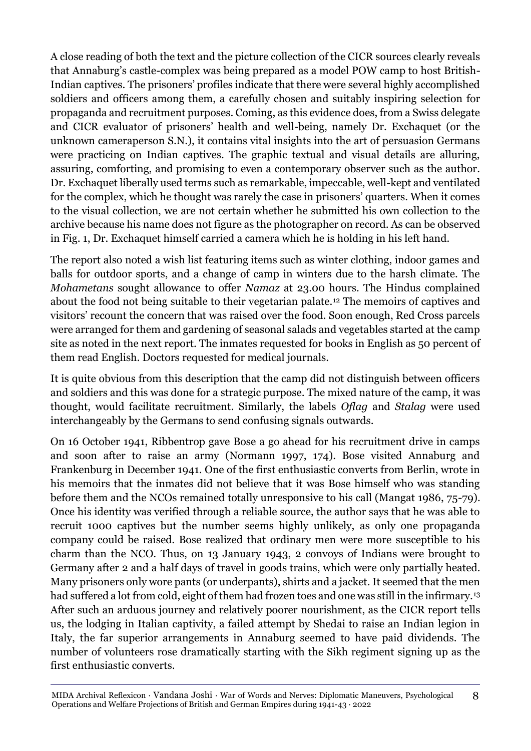A close reading of both the text and the picture collection of the CICR sources clearly reveals that Annaburg's castle-complex was being prepared as a model POW camp to host British-Indian captives. The prisoners' profiles indicate that there were several highly accomplished soldiers and officers among them, a carefully chosen and suitably inspiring selection for propaganda and recruitment purposes. Coming, as this evidence does, from a Swiss delegate and CICR evaluator of prisoners' health and well-being, namely Dr. Exchaquet (or the unknown cameraperson S.N.), it contains vital insights into the art of persuasion Germans were practicing on Indian captives. The graphic textual and visual details are alluring, assuring, comforting, and promising to even a contemporary observer such as the author. Dr. Exchaquet liberally used terms such as remarkable, impeccable, well-kept and ventilated for the complex, which he thought was rarely the case in prisoners' quarters. When it comes to the visual collection, we are not certain whether he submitted his own collection to the archive because his name does not figure as the photographer on record. As can be observed in Fig. 1, Dr. Exchaquet himself carried a camera which he is holding in his left hand.

The report also noted a wish list featuring items such as winter clothing, indoor games and balls for outdoor sports, and a change of camp in winters due to the harsh climate. The *Mohametans* sought allowance to offer *Namaz* at 23.00 hours. The Hindus complained about the food not being suitable to their vegetarian palate.<sup>12</sup> The memoirs of captives and visitors' recount the concern that was raised over the food. Soon enough, Red Cross parcels were arranged for them and gardening of seasonal salads and vegetables started at the camp site as noted in the next report. The inmates requested for books in English as 50 percent of them read English. Doctors requested for medical journals.

It is quite obvious from this description that the camp did not distinguish between officers and soldiers and this was done for a strategic purpose. The mixed nature of the camp, it was thought, would facilitate recruitment. Similarly, the labels *Oflag* and *Stalag* were used interchangeably by the Germans to send confusing signals outwards.

On 16 October 1941, Ribbentrop gave Bose a go ahead for his recruitment drive in camps and soon after to raise an army (Normann 1997, 174). Bose visited Annaburg and Frankenburg in December 1941. One of the first enthusiastic converts from Berlin, wrote in his memoirs that the inmates did not believe that it was Bose himself who was standing before them and the NCOs remained totally unresponsive to his call (Mangat 1986, 75-79). Once his identity was verified through a reliable source, the author says that he was able to recruit 1000 captives but the number seems highly unlikely, as only one propaganda company could be raised. Bose realized that ordinary men were more susceptible to his charm than the NCO. Thus, on 13 January 1943, 2 convoys of Indians were brought to Germany after 2 and a half days of travel in goods trains, which were only partially heated. Many prisoners only wore pants (or underpants), shirts and a jacket. It seemed that the men had suffered a lot from cold, eight of them had frozen toes and one was still in the infirmary.<sup>13</sup> After such an arduous journey and relatively poorer nourishment, as the CICR report tells us, the lodging in Italian captivity, a failed attempt by Shedai to raise an Indian legion in Italy, the far superior arrangements in Annaburg seemed to have paid dividends. The number of volunteers rose dramatically starting with the Sikh regiment signing up as the first enthusiastic converts.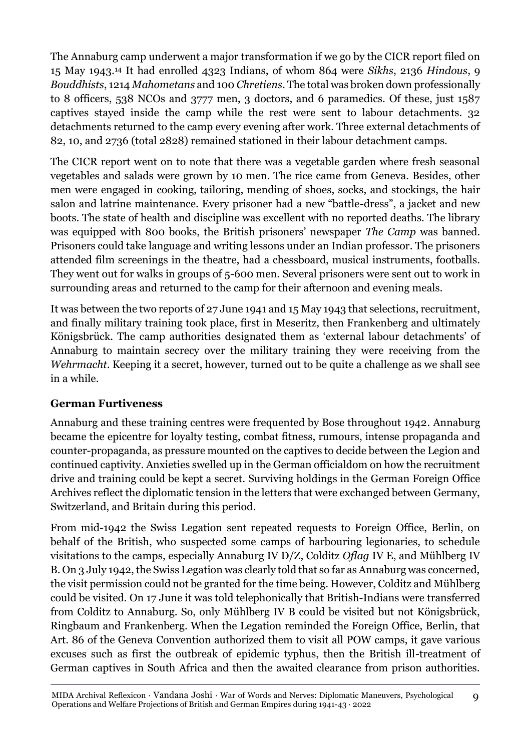The Annaburg camp underwent a major transformation if we go by the CICR report filed on 15 May 1943.<sup>14</sup> It had enrolled 4323 Indians, of whom 864 were *Sikhs*, 2136 *Hindous*, 9 *Bouddhists*, 1214 *Mahometans* and 100 *Chretiens*. The total was broken down professionally to 8 officers, 538 NCOs and 3777 men, 3 doctors, and 6 paramedics. Of these, just 1587 captives stayed inside the camp while the rest were sent to labour detachments. 32 detachments returned to the camp every evening after work. Three external detachments of 82, 10, and 2736 (total 2828) remained stationed in their labour detachment camps.

The CICR report went on to note that there was a vegetable garden where fresh seasonal vegetables and salads were grown by 10 men. The rice came from Geneva. Besides, other men were engaged in cooking, tailoring, mending of shoes, socks, and stockings, the hair salon and latrine maintenance. Every prisoner had a new "battle-dress", a jacket and new boots. The state of health and discipline was excellent with no reported deaths. The library was equipped with 800 books, the British prisoners' newspaper *The Camp* was banned. Prisoners could take language and writing lessons under an Indian professor. The prisoners attended film screenings in the theatre, had a chessboard, musical instruments, footballs. They went out for walks in groups of 5-600 men. Several prisoners were sent out to work in surrounding areas and returned to the camp for their afternoon and evening meals.

It was between the two reports of 27 June 1941 and 15 May 1943 that selections, recruitment, and finally military training took place, first in Meseritz, then Frankenberg and ultimately Königsbrück. The camp authorities designated them as 'external labour detachments' of Annaburg to maintain secrecy over the military training they were receiving from the *Wehrmacht*. Keeping it a secret, however, turned out to be quite a challenge as we shall see in a while.

### **German Furtiveness**

Annaburg and these training centres were frequented by Bose throughout 1942. Annaburg became the epicentre for loyalty testing, combat fitness, rumours, intense propaganda and counter-propaganda, as pressure mounted on the captives to decide between the Legion and continued captivity. Anxieties swelled up in the German officialdom on how the recruitment drive and training could be kept a secret. Surviving holdings in the German Foreign Office Archives reflect the diplomatic tension in the letters that were exchanged between Germany, Switzerland, and Britain during this period.

From mid-1942 the Swiss Legation sent repeated requests to Foreign Office, Berlin, on behalf of the British, who suspected some camps of harbouring legionaries, to schedule visitations to the camps, especially Annaburg IV D/Z, Colditz *Oflag* IV E, and Mühlberg IV B. On 3 July 1942, the Swiss Legation was clearly told that so far as Annaburg was concerned, the visit permission could not be granted for the time being. However, Colditz and Mühlberg could be visited. On 17 June it was told telephonically that British-Indians were transferred from Colditz to Annaburg. So, only Mühlberg IV B could be visited but not Königsbrück, Ringbaum and Frankenberg. When the Legation reminded the Foreign Office, Berlin, that Art. 86 of the Geneva Convention authorized them to visit all POW camps, it gave various excuses such as first the outbreak of epidemic typhus, then the British ill-treatment of German captives in South Africa and then the awaited clearance from prison authorities.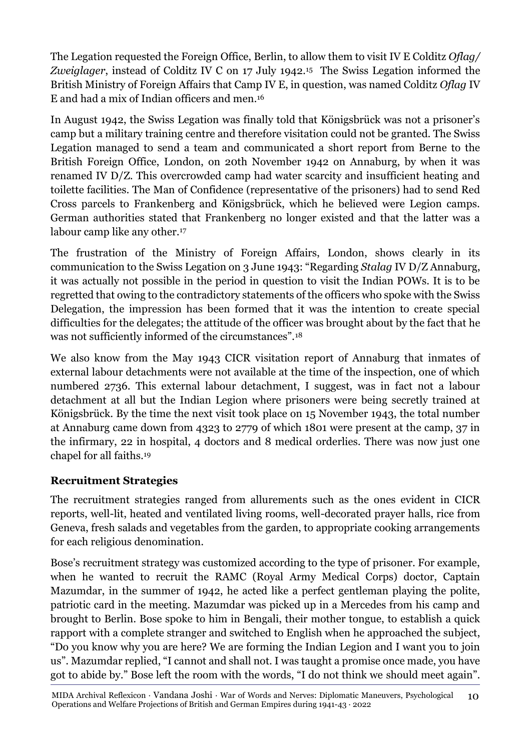The Legation requested the Foreign Office, Berlin, to allow them to visit IV E Colditz *Oflag/ Zweiglager*, instead of Colditz IV C on 17 July 1942.15 The Swiss Legation informed the British Ministry of Foreign Affairs that Camp IV E, in question, was named Colditz *Oflag* IV E and had a mix of Indian officers and men.<sup>16</sup>

In August 1942, the Swiss Legation was finally told that Königsbrück was not a prisoner's camp but a military training centre and therefore visitation could not be granted. The Swiss Legation managed to send a team and communicated a short report from Berne to the British Foreign Office, London, on 20th November 1942 on Annaburg, by when it was renamed IV D/Z. This overcrowded camp had water scarcity and insufficient heating and toilette facilities. The Man of Confidence (representative of the prisoners) had to send Red Cross parcels to Frankenberg and Königsbrück, which he believed were Legion camps. German authorities stated that Frankenberg no longer existed and that the latter was a labour camp like any other.<sup>17</sup>

The frustration of the Ministry of Foreign Affairs, London, shows clearly in its communication to the Swiss Legation on 3 June 1943: "Regarding *Stalag* IV D/Z Annaburg, it was actually not possible in the period in question to visit the Indian POWs. It is to be regretted that owing to the contradictory statements of the officers who spoke with the Swiss Delegation, the impression has been formed that it was the intention to create special difficulties for the delegates; the attitude of the officer was brought about by the fact that he was not sufficiently informed of the circumstances".<sup>18</sup>

We also know from the May 1943 CICR visitation report of Annaburg that inmates of external labour detachments were not available at the time of the inspection, one of which numbered 2736. This external labour detachment, I suggest, was in fact not a labour detachment at all but the Indian Legion where prisoners were being secretly trained at Königsbrück. By the time the next visit took place on 15 November 1943, the total number at Annaburg came down from 4323 to 2779 of which 1801 were present at the camp, 37 in the infirmary, 22 in hospital, 4 doctors and 8 medical orderlies. There was now just one chapel for all faiths.<sup>19</sup>

### **Recruitment Strategies**

The recruitment strategies ranged from allurements such as the ones evident in CICR reports, well-lit, heated and ventilated living rooms, well-decorated prayer halls, rice from Geneva, fresh salads and vegetables from the garden, to appropriate cooking arrangements for each religious denomination.

Bose's recruitment strategy was customized according to the type of prisoner. For example, when he wanted to recruit the RAMC (Royal Army Medical Corps) doctor, Captain Mazumdar, in the summer of 1942, he acted like a perfect gentleman playing the polite, patriotic card in the meeting. Mazumdar was picked up in a Mercedes from his camp and brought to Berlin. Bose spoke to him in Bengali, their mother tongue, to establish a quick rapport with a complete stranger and switched to English when he approached the subject, "Do you know why you are here? We are forming the Indian Legion and I want you to join us". Mazumdar replied, "I cannot and shall not. I was taught a promise once made, you have got to abide by." Bose left the room with the words, "I do not think we should meet again".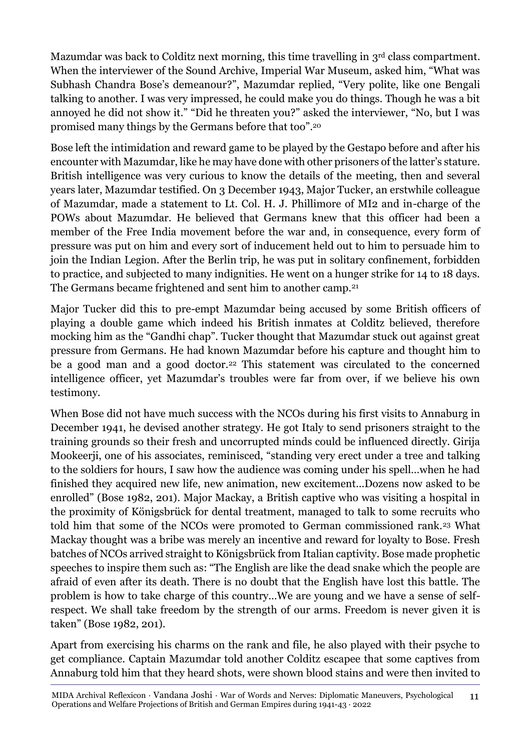Mazumdar was back to Colditz next morning, this time travelling in 3rd class compartment. When the interviewer of the Sound Archive, Imperial War Museum, asked him, "What was Subhash Chandra Bose's demeanour?", Mazumdar replied, "Very polite, like one Bengali talking to another. I was very impressed, he could make you do things. Though he was a bit annoyed he did not show it." "Did he threaten you?" asked the interviewer, "No, but I was promised many things by the Germans before that too".<sup>20</sup>

Bose left the intimidation and reward game to be played by the Gestapo before and after his encounter with Mazumdar, like he may have done with other prisoners of the latter's stature. British intelligence was very curious to know the details of the meeting, then and several years later, Mazumdar testified. On 3 December 1943, Major Tucker, an erstwhile colleague of Mazumdar, made a statement to Lt. Col. H. J. Phillimore of MI2 and in-charge of the POWs about Mazumdar. He believed that Germans knew that this officer had been a member of the Free India movement before the war and, in consequence, every form of pressure was put on him and every sort of inducement held out to him to persuade him to join the Indian Legion. After the Berlin trip, he was put in solitary confinement, forbidden to practice, and subjected to many indignities. He went on a hunger strike for 14 to 18 days. The Germans became frightened and sent him to another camp.<sup>21</sup>

Major Tucker did this to pre-empt Mazumdar being accused by some British officers of playing a double game which indeed his British inmates at Colditz believed, therefore mocking him as the "Gandhi chap". Tucker thought that Mazumdar stuck out against great pressure from Germans. He had known Mazumdar before his capture and thought him to be a good man and a good doctor.<sup>22</sup> This statement was circulated to the concerned intelligence officer, yet Mazumdar's troubles were far from over, if we believe his own testimony.

When Bose did not have much success with the NCOs during his first visits to Annaburg in December 1941, he devised another strategy. He got Italy to send prisoners straight to the training grounds so their fresh and uncorrupted minds could be influenced directly. Girija Mookeerji, one of his associates, reminisced, "standing very erect under a tree and talking to the soldiers for hours, I saw how the audience was coming under his spell…when he had finished they acquired new life, new animation, new excitement...Dozens now asked to be enrolled" (Bose 1982, 201). Major Mackay, a British captive who was visiting a hospital in the proximity of Königsbrück for dental treatment, managed to talk to some recruits who told him that some of the NCOs were promoted to German commissioned rank.<sup>23</sup> What Mackay thought was a bribe was merely an incentive and reward for loyalty to Bose. Fresh batches of NCOs arrived straight to Königsbrück from Italian captivity. Bose made prophetic speeches to inspire them such as: "The English are like the dead snake which the people are afraid of even after its death. There is no doubt that the English have lost this battle. The problem is how to take charge of this country…We are young and we have a sense of selfrespect. We shall take freedom by the strength of our arms. Freedom is never given it is taken" (Bose 1982, 201).

Apart from exercising his charms on the rank and file, he also played with their psyche to get compliance. Captain Mazumdar told another Colditz escapee that some captives from Annaburg told him that they heard shots, were shown blood stains and were then invited to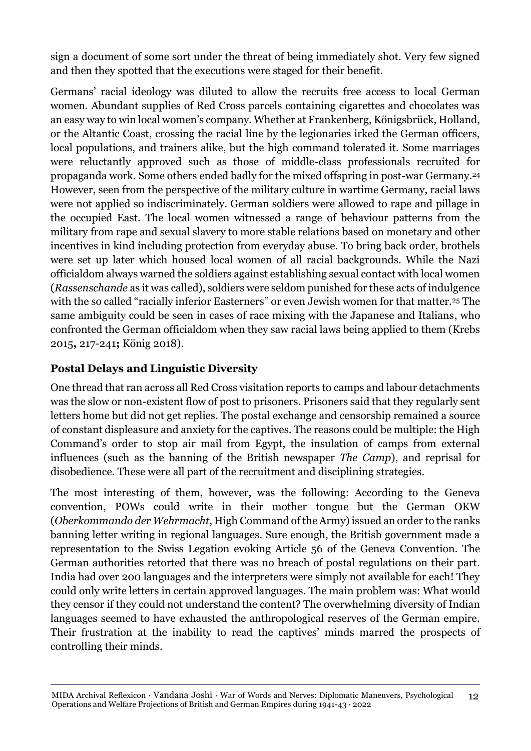sign a document of some sort under the threat of being immediately shot. Very few signed and then they spotted that the executions were staged for their benefit.

Germans' racial ideology was diluted to allow the recruits free access to local German women. Abundant supplies of Red Cross parcels containing cigarettes and chocolates was an easy way to win local women's company. Whether at Frankenberg, Königsbrück, Holland, or the Altantic Coast, crossing the racial line by the legionaries irked the German officers, local populations, and trainers alike, but the high command tolerated it. Some marriages were reluctantly approved such as those of middle-class professionals recruited for propaganda work. Some others ended badly for the mixed offspring in post-war Germany.<sup>24</sup> However, seen from the perspective of the military culture in wartime Germany, racial laws were not applied so indiscriminately. German soldiers were allowed to rape and pillage in the occupied East. The local women witnessed a range of behaviour patterns from the military from rape and sexual slavery to more stable relations based on monetary and other incentives in kind including protection from everyday abuse. To bring back order, brothels were set up later which housed local women of all racial backgrounds. While the Nazi officialdom always warned the soldiers against establishing sexual contact with local women (*Rassenschande* as it was called), soldiers were seldom punished for these acts of indulgence with the so called "racially inferior Easterners" or even Jewish women for that matter.<sup>25</sup> The same ambiguity could be seen in cases of race mixing with the Japanese and Italians, who confronted the German officialdom when they saw racial laws being applied to them (Krebs 2015**,** 217-241**;** König 2018).

### **Postal Delays and Linguistic Diversity**

One thread that ran across all Red Cross visitation reports to camps and labour detachments was the slow or non-existent flow of post to prisoners. Prisoners said that they regularly sent letters home but did not get replies. The postal exchange and censorship remained a source of constant displeasure and anxiety for the captives. The reasons could be multiple: the High Command's order to stop air mail from Egypt, the insulation of camps from external influences (such as the banning of the British newspaper *The Camp*), and reprisal for disobedience. These were all part of the recruitment and disciplining strategies.

The most interesting of them, however, was the following: According to the Geneva convention, POWs could write in their mother tongue but the German OKW (*Oberkommando der Wehrmacht*, High Command of the Army) issued an order to the ranks banning letter writing in regional languages. Sure enough, the British government made a representation to the Swiss Legation evoking Article 56 of the Geneva Convention. The German authorities retorted that there was no breach of postal regulations on their part. India had over 200 languages and the interpreters were simply not available for each! They could only write letters in certain approved languages. The main problem was: What would they censor if they could not understand the content? The overwhelming diversity of Indian languages seemed to have exhausted the anthropological reserves of the German empire. Their frustration at the inability to read the captives' minds marred the prospects of controlling their minds.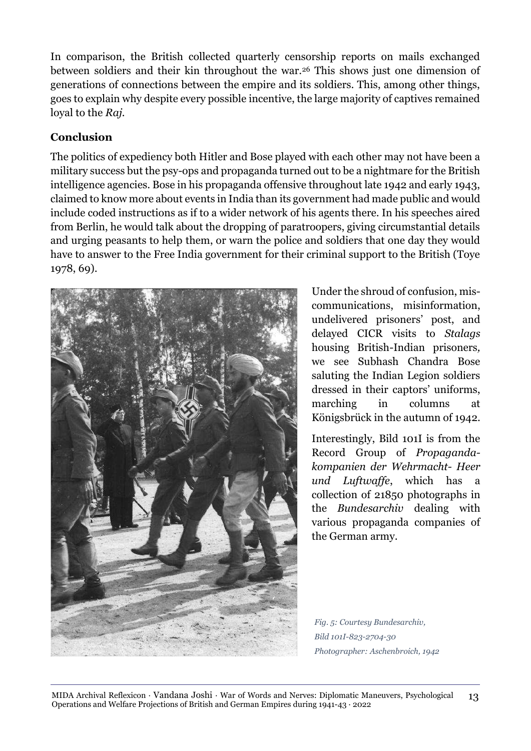In comparison, the British collected quarterly censorship reports on mails exchanged between soldiers and their kin throughout the war.<sup>26</sup> This shows just one dimension of generations of connections between the empire and its soldiers. This, among other things, goes to explain why despite every possible incentive, the large majority of captives remained loyal to the *Raj.*

### **Conclusion**

The politics of expediency both Hitler and Bose played with each other may not have been a military success but the psy-ops and propaganda turned out to be a nightmare for the British intelligence agencies. Bose in his propaganda offensive throughout late 1942 and early 1943, claimed to know more about events in India than its government had made public and would include coded instructions as if to a wider network of his agents there. In his speeches aired from Berlin, he would talk about the dropping of paratroopers, giving circumstantial details and urging peasants to help them, or warn the police and soldiers that one day they would have to answer to the Free India government for their criminal support to the British (Toye 1978, 69).



Under the shroud of confusion, miscommunications, misinformation, undelivered prisoners' post, and delayed CICR visits to *Stalags* housing British-Indian prisoners*,*  we see Subhash Chandra Bose saluting the Indian Legion soldiers dressed in their captors' uniforms, marching in columns at Königsbrück in the autumn of 1942.

Interestingly, Bild 101I is from the Record Group of *Propagandakompanien der Wehrmacht- Heer und Luftwaffe*, which has a collection of 21850 photographs in the *Bundesarchiv* dealing with various propaganda companies of the German army.

*Fig. 5: Courtesy Bundesarchiv, Bild 101I-823-2704-30 Photographer: Aschenbroich, 1942*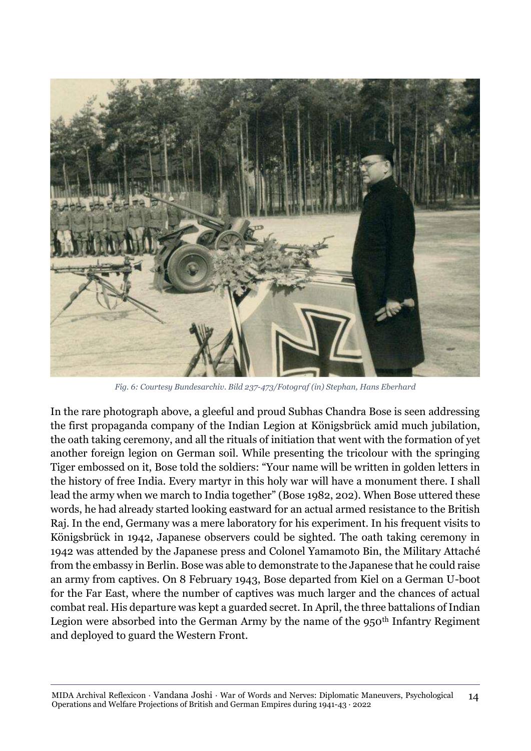

*Fig. 6: Courtesy Bundesarchiv. Bild 237-473/Fotograf (in) Stephan, Hans Eberhard*

In the rare photograph above, a gleeful and proud Subhas Chandra Bose is seen addressing the first propaganda company of the Indian Legion at Königsbrück amid much jubilation, the oath taking ceremony, and all the rituals of initiation that went with the formation of yet another foreign legion on German soil. While presenting the tricolour with the springing Tiger embossed on it, Bose told the soldiers: "Your name will be written in golden letters in the history of free India. Every martyr in this holy war will have a monument there. I shall lead the army when we march to India together" (Bose 1982, 202). When Bose uttered these words, he had already started looking eastward for an actual armed resistance to the British Raj. In the end, Germany was a mere laboratory for his experiment. In his frequent visits to Königsbrück in 1942, Japanese observers could be sighted. The oath taking ceremony in 1942 was attended by the Japanese press and Colonel Yamamoto Bin, the Military Attaché from the embassy in Berlin. Bose was able to demonstrate to the Japanese that he could raise an army from captives. On 8 February 1943, Bose departed from Kiel on a German U-boot for the Far East, where the number of captives was much larger and the chances of actual combat real. His departure was kept a guarded secret. In April, the three battalions of Indian Legion were absorbed into the German Army by the name of the  $950<sup>th</sup>$  Infantry Regiment and deployed to guard the Western Front.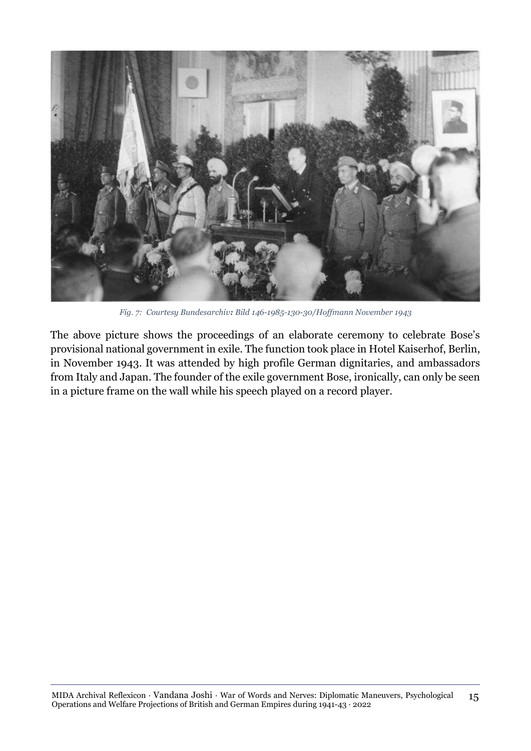

*Fig. 7: Courtesy Bundesarchiv: Bild 146-1985-130-30/Hoffmann November 1943*

The above picture shows the proceedings of an elaborate ceremony to celebrate Bose's provisional national government in exile. The function took place in Hotel Kaiserhof, Berlin, in November 1943. It was attended by high profile German dignitaries, and ambassadors from Italy and Japan. The founder of the exile government Bose, ironically, can only be seen in a picture frame on the wall while his speech played on a record player.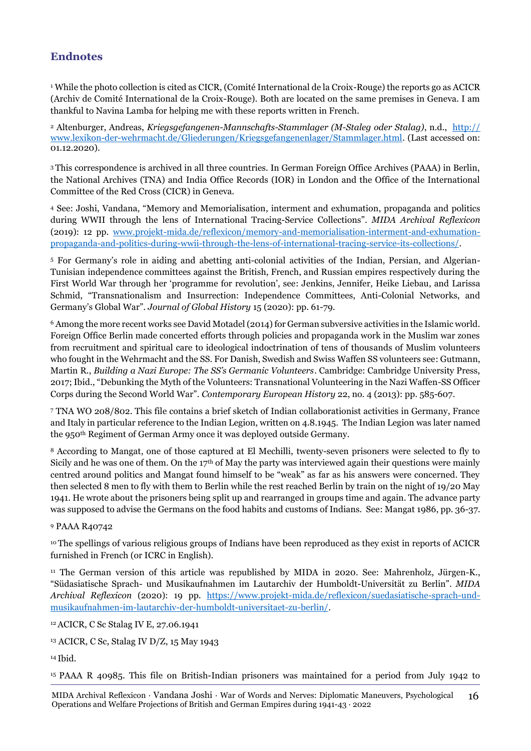### **Endnotes**

<sup>1</sup> While the photo collection is cited as CICR, (Comité International de la Croix-Rouge) the reports go as ACICR (Archiv de Comité International de la Croix-Rouge). Both are located on the same premises in Geneva. I am thankful to Navina Lamba for helping me with these reports written in French.

<sup>2</sup> Altenburger, Andreas, *Kriegsgefangenen-Mannschafts-Stammlager (M-Staleg oder Stalag)*, n.d., [http://](http://www.lexikon-der-wehrmacht.de/Gliederungen/Kriegsgefangenenlager/Stammlager.html) [www.lexikon-der-wehrmacht.de/Gliederungen/Kriegsgefangenenlager/Stammlager.html.](http://www.lexikon-der-wehrmacht.de/Gliederungen/Kriegsgefangenenlager/Stammlager.html) (Last accessed on: 01.12.2020).

<sup>3</sup> This correspondence is archived in all three countries. In German Foreign Office Archives (PAAA) in Berlin, the National Archives (TNA) and India Office Records (IOR) in London and the Office of the International Committee of the Red Cross (CICR) in Geneva.

<sup>4</sup> See: Joshi, Vandana, "Memory and Memorialisation, interment and exhumation, propaganda and politics during WWII through the lens of International Tracing-Service Collections". *MIDA Archival Reflexicon* (2019): 12 pp. [www.projekt-mida.de/reflexicon/memory-and-memorialisation-interment-and-exhumation](http://www.projekt-mida.de/reflexicon/memory-and-memorialisation-interment-and-exhumation-propa‌gan‌da-and-politics-during-wwii-through-the-lens-of-international-tracing-service-its-collections/)[propaganda-and-politics-during-wwii-through-the-lens-of-international-tracing-service-its-collections/.](http://www.projekt-mida.de/reflexicon/memory-and-memorialisation-interment-and-exhumation-propa‌gan‌da-and-politics-during-wwii-through-the-lens-of-international-tracing-service-its-collections/)

<sup>5</sup> For Germany's role in aiding and abetting anti-colonial activities of the Indian, Persian, and Algerian-Tunisian independence committees against the British, French, and Russian empires respectively during the First World War through her 'programme for revolution', see: Jenkins, Jennifer, Heike Liebau, and Larissa Schmid, "Transnationalism and Insurrection: Independence Committees, Anti-Colonial Networks, and Germany's Global War". *Journal of Global History* 15 (2020): pp. 61-79.

<sup>6</sup> Among the more recent works see David Motadel (2014) for German subversive activities in the Islamic world. Foreign Office Berlin made concerted efforts through policies and propaganda work in the Muslim war zones from recruitment and spiritual care to ideological indoctrination of tens of thousands of Muslim volunteers who fought in the Wehrmacht and the SS. For Danish, Swedish and Swiss Waffen SS volunteers see: Gutmann, Martin R., *Building a Nazi Europe: The SS's Germanic Volunteers*. Cambridge: Cambridge University Press, 2017; Ibid., "Debunking the Myth of the Volunteers: Transnational Volunteering in the Nazi Waffen-SS Officer Corps during the Second World War". *Contemporary European History* 22, no. 4 (2013): pp. 585-607.

<sup>7</sup> TNA WO 208/802. This file contains a brief sketch of Indian collaborationist activities in Germany, France and Italy in particular reference to the Indian Legion, written on 4.8.1945. The Indian Legion was later named the 950th Regiment of German Army once it was deployed outside Germany.

<sup>8</sup> According to Mangat, one of those captured at El Mechilli, twenty-seven prisoners were selected to fly to Sicily and he was one of them. On the 17<sup>th</sup> of May the party was interviewed again their questions were mainly centred around politics and Mangat found himself to be "weak" as far as his answers were concerned. They then selected 8 men to fly with them to Berlin while the rest reached Berlin by train on the night of 19/20 May 1941. He wrote about the prisoners being split up and rearranged in groups time and again. The advance party was supposed to advise the Germans on the food habits and customs of Indians. See: Mangat 1986, pp. 36-37.

#### <sup>9</sup> PAAA R40742

<sup>10</sup> The spellings of various religious groups of Indians have been reproduced as they exist in reports of ACICR furnished in French (or ICRC in English).

<sup>11</sup> The German version of this article was republished by MIDA in 2020. See: Mahrenholz, Jürgen-K., "Südasiatische Sprach- und Musikaufnahmen im Lautarchiv der Humboldt-Universität zu Berlin". *MIDA Archival Reflexicon* (2020): 19 pp. [https://www.projekt-mida.de/reflexicon/suedasiatische-sprach-und](https://www.projekt-mida.de/reflexicon/suedasiatische-sprach-und-musikaufnahmen-im-lautarchiv-der-humboldt-universitaet-zu-berlin/)[musikaufnahmen-im-lautarchiv-der-humboldt-universitaet-zu-berlin/.](https://www.projekt-mida.de/reflexicon/suedasiatische-sprach-und-musikaufnahmen-im-lautarchiv-der-humboldt-universitaet-zu-berlin/)

<sup>12</sup>ACICR, C Sc Stalag IV E, 27.06.1941

<sup>13</sup> ACICR, C Sc, Stalag IV D/Z, 15 May 1943

<sup>14</sup> Ibid.

<sup>15</sup> PAAA R 40985. This file on British-Indian prisoners was maintained for a period from July 1942 to

MIDA Archival Reflexicon · Vandana Joshi · War of Words and Nerves: Diplomatic Maneuvers, Psychological Operations and Welfare Projections of British and German Empires during 1941-43 · 2022 16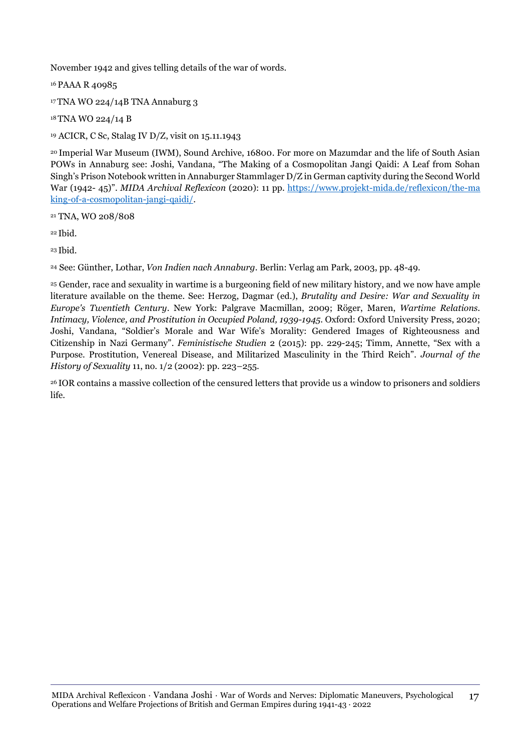November 1942 and gives telling details of the war of words.

<sup>16</sup> PAAA R 40985

<sup>17</sup> TNA WO 224/14B TNA Annaburg 3

<sup>18</sup> TNA WO 224/14 B

<sup>19</sup> ACICR, C Sc, Stalag IV D/Z, visit on 15.11.1943

<sup>20</sup> Imperial War Museum (IWM), Sound Archive, 16800. For more on Mazumdar and the life of South Asian POWs in Annaburg see: Joshi, Vandana, "The Making of a Cosmopolitan Jangi Qaidi: A Leaf from Sohan Singh's Prison Notebook written in Annaburger Stammlager D/Z in German captivity during the Second World War (1942- 45)". *MIDA Archival Reflexicon* (2020): 11 pp. [https://www.projekt-mida.de/reflexicon/the-ma](https://www.projekt-mida.de/reflexicon/the-making-of-a-cosmopolitan-jangi-qaidi/) [king-of-a-cosmopolitan-jangi-qaidi/.](https://www.projekt-mida.de/reflexicon/the-making-of-a-cosmopolitan-jangi-qaidi/)

<sup>21</sup> TNA, WO 208/808

<sup>22</sup> Ibid.

<sup>23</sup> Ibid.

<sup>24</sup> See: Günther, Lothar, *Von Indien nach Annaburg*. Berlin: Verlag am Park, 2003, pp. 48-49.

<sup>25</sup> Gender, race and sexuality in wartime is a burgeoning field of new military history, and we now have ample literature available on the theme. See: Herzog, Dagmar (ed.), *Brutality and Desire: War and Sexuality in Europe's Twentieth Century*. New York: Palgrave Macmillan, 2009; Röger, Maren, *Wartime Relations. Intimacy, Violence, and Prostitution in Occupied Poland, 1939-1945*. Oxford: Oxford University Press, 2020; Joshi, Vandana, "Soldier's Morale and War Wife's Morality: Gendered Images of Righteousness and Citizenship in Nazi Germany". *Feministische Studien* 2 (2015): pp. 229-245; Timm, Annette, "Sex with a Purpose. Prostitution, Venereal Disease, and Militarized Masculinity in the Third Reich". *Journal of the History of Sexuality* 11, no. 1/2 (2002): pp. 223–255.

<sup>26</sup> IOR contains a massive collection of the censured letters that provide us a window to prisoners and soldiers life.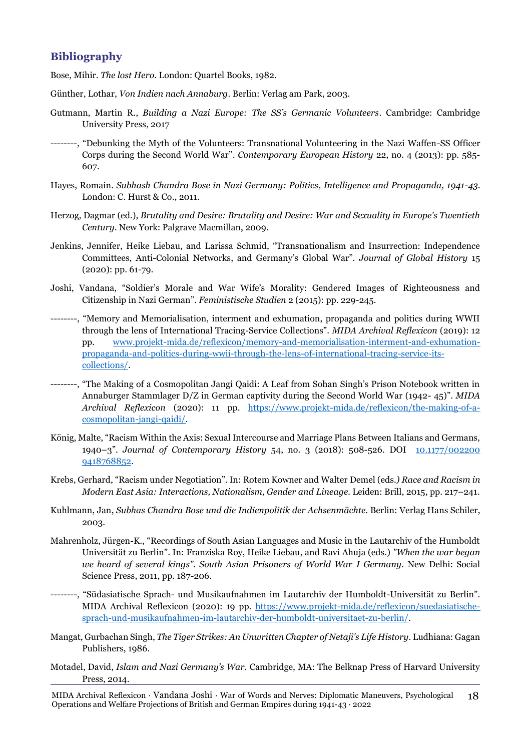### **Bibliography**

Bose, Mihir. *The lost Hero*. London: Quartel Books, 1982.

- Günther, Lothar, *Von Indien nach Annaburg*. Berlin: Verlag am Park, 2003.
- Gutmann, Martin R., *Building a Nazi Europe: The SS's Germanic Volunteers*. Cambridge: Cambridge University Press, 2017
- --------, "Debunking the Myth of the Volunteers: Transnational Volunteering in the Nazi Waffen-SS Officer Corps during the Second World War". *Contemporary European History* 22, no. 4 (2013): pp. 585- 607.
- Hayes, Romain. *Subhash Chandra Bose in Nazi Germany: Politics, Intelligence and Propaganda, 1941-43*. London: C. Hurst & Co., 2011.
- Herzog, Dagmar (ed.), *Brutality and Desire: Brutality and Desire: War and Sexuality in Europe's Twentieth Century*. New York: Palgrave Macmillan, 2009.
- Jenkins, Jennifer, Heike Liebau, and Larissa Schmid, "Transnationalism and Insurrection: Independence Committees, Anti-Colonial Networks, and Germany's Global War". *Journal of Global History* 15 (2020): pp. 61-79.
- Joshi, Vandana, "Soldier's Morale and War Wife's Morality: Gendered Images of Righteousness and Citizenship in Nazi German". *Feministische Studien* 2 (2015): pp. 229-245.
- --------, "Memory and Memorialisation, interment and exhumation, propaganda and politics during WWII through the lens of International Tracing-Service Collections". *MIDA Archival Reflexicon* (2019): 12 pp. [www.projekt-mida.de/reflexicon/memory-and-memorialisation-interment-and-exhumation](http://www.projekt-mida.de/reflexicon/memory-and-memorialisation-interment-and-exhumation-propaganda-and-politics-during-wwii-through-the-lens-of-international-tracing-service-its-collections/)[propaganda-and-politics-during-wwii-through-the-lens-of-international-tracing-service-its](http://www.projekt-mida.de/reflexicon/memory-and-memorialisation-interment-and-exhumation-propaganda-and-politics-during-wwii-through-the-lens-of-international-tracing-service-its-collections/)[collections/.](http://www.projekt-mida.de/reflexicon/memory-and-memorialisation-interment-and-exhumation-propaganda-and-politics-during-wwii-through-the-lens-of-international-tracing-service-its-collections/)
- --------, "The Making of a Cosmopolitan Jangi Qaidi: A Leaf from Sohan Singh's Prison Notebook written in Annaburger Stammlager D/Z in German captivity during the Second World War (1942- 45)". *MIDA Archival Reflexicon* (2020): 11 pp. [https://www.projekt-mida.de/reflexicon/the-making-of-a](https://www.projekt-mida.de/reflexicon/the-making-of-a-cosmopolitan-jangi-qaidi/)[cosmopolitan-jangi-qaidi/.](https://www.projekt-mida.de/reflexicon/the-making-of-a-cosmopolitan-jangi-qaidi/)
- König, Malte, "Racism Within the Axis: Sexual Intercourse and Marriage Plans Between Italians and Germans, 1940–3". *Journal of Contemporary History* 54, no. 3 (2018): 508-526. DOI [10.1177/002200](https://doi.org/10.1177/0022009418768852) [9418768852.](https://doi.org/10.1177/0022009418768852)
- Krebs, Gerhard, "Racism under Negotiation". In: Rotem Kowner and Walter Demel (eds*.) Race and Racism in Modern East Asia: Interactions, Nationalism, Gender and Lineage.* Leiden: Brill, 2015, pp. 217–241.
- Kuhlmann, Jan, *Subhas Chandra Bose und die Indienpolitik der Achsenmächte*. Berlin: Verlag Hans Schiler, 2003.
- Mahrenholz, Jürgen-K., "Recordings of South Asian Languages and Music in the Lautarchiv of the Humboldt Universität zu Berlin". In: Franziska Roy, Heike Liebau, and Ravi Ahuja (eds.) *"When the war began we heard of several kings". South Asian Prisoners of World War I Germany*. New Delhi: Social Science Press, 2011, pp. 187-206.
- --------, "Südasiatische Sprach- und Musikaufnahmen im Lautarchiv der Humboldt-Universität zu Berlin". MIDA Archival Reflexicon (2020): 19 pp. [https://www.projekt-mida.de/reflexicon/suedasiatische](https://www.projekt-mida.de/reflexicon/suedasiatische-sprach-und-musikaufnahmen-im-lautarchiv-der-humboldt-universitaet-zu-berlin/)[sprach-und-musikaufnahmen-im-lautarchiv-der-humboldt-universitaet-zu-berlin/.](https://www.projekt-mida.de/reflexicon/suedasiatische-sprach-und-musikaufnahmen-im-lautarchiv-der-humboldt-universitaet-zu-berlin/)
- Mangat, Gurbachan Singh, *The Tiger Strikes: An Unwritten Chapter of Netaji's Life History*. Ludhiana: Gagan Publishers, 1986.
- Motadel, David, *Islam and Nazi Germany's War.* Cambridge, MA: The Belknap Press of Harvard University Press, 2014.

MIDA Archival Reflexicon · Vandana Joshi · War of Words and Nerves: Diplomatic Maneuvers, Psychological Operations and Welfare Projections of British and German Empires during 1941-43 · 2022 18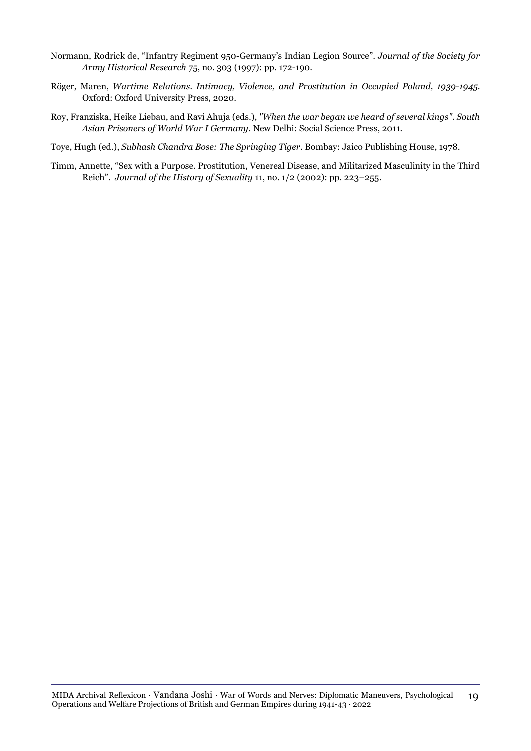- Normann, Rodrick de, "Infantry Regiment 950-Germany's Indian Legion Source". *Journal of the Society for Army Historical Research* 75, no. 303 (1997): pp. 172-190.
- Röger, Maren, *Wartime Relations. Intimacy, Violence, and Prostitution in Occupied Poland, 1939-1945*. Oxford: Oxford University Press, 2020.
- Roy, Franziska, Heike Liebau, and Ravi Ahuja (eds.), *"When the war began we heard of several kings". South Asian Prisoners of World War I Germany*. New Delhi: Social Science Press, 2011.
- Toye, Hugh (ed.), *Subhash Chandra Bose: The Springing Tiger*. Bombay: Jaico Publishing House, 1978.
- Timm, Annette, "Sex with a Purpose. Prostitution, Venereal Disease, and Militarized Masculinity in the Third Reich". *Journal of the History of Sexuality* 11, no. 1/2 (2002): pp. 223–255.